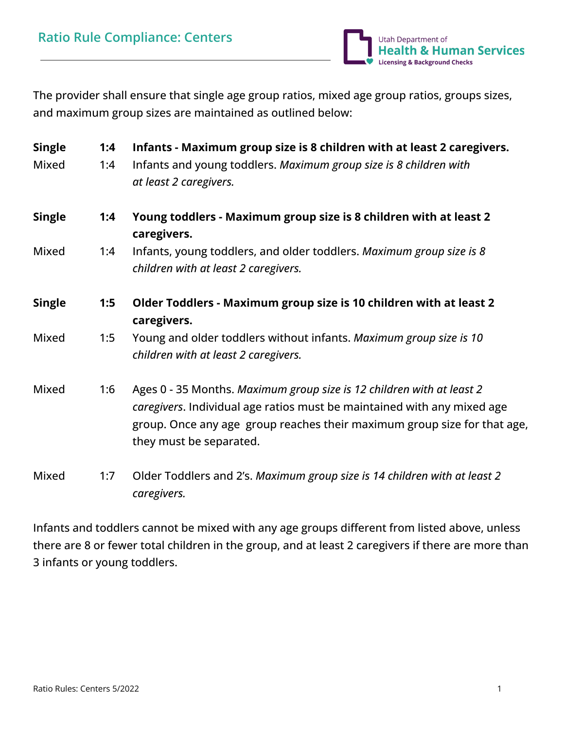

The provider shall ensure that single age group ratios, mixed age group ratios, groups sizes, and maximum group sizes are maintained as outlined below:

| <b>Single</b> | 1:4 | Infants - Maximum group size is 8 children with at least 2 caregivers.                                                                                                                                                                                  |  |  |  |  |  |
|---------------|-----|---------------------------------------------------------------------------------------------------------------------------------------------------------------------------------------------------------------------------------------------------------|--|--|--|--|--|
| Mixed         | 1:4 | Infants and young toddlers. Maximum group size is 8 children with<br>at least 2 caregivers.                                                                                                                                                             |  |  |  |  |  |
|               |     |                                                                                                                                                                                                                                                         |  |  |  |  |  |
| <b>Single</b> | 1:4 | Young toddlers - Maximum group size is 8 children with at least 2<br>caregivers.                                                                                                                                                                        |  |  |  |  |  |
| Mixed         | 1:4 | Infants, young toddlers, and older toddlers. Maximum group size is 8<br>children with at least 2 caregivers.                                                                                                                                            |  |  |  |  |  |
| <b>Single</b> | 1:5 | Older Toddlers - Maximum group size is 10 children with at least 2<br>caregivers.                                                                                                                                                                       |  |  |  |  |  |
| Mixed         | 1:5 | Young and older toddlers without infants. Maximum group size is 10<br>children with at least 2 caregivers.                                                                                                                                              |  |  |  |  |  |
| Mixed         | 1:6 | Ages 0 - 35 Months. Maximum group size is 12 children with at least 2<br>caregivers. Individual age ratios must be maintained with any mixed age<br>group. Once any age group reaches their maximum group size for that age,<br>they must be separated. |  |  |  |  |  |
| Mixed         | 1:7 | Older Toddlers and 2's. Maximum group size is 14 children with at least 2<br>caregivers.                                                                                                                                                                |  |  |  |  |  |

Infants and toddlers cannot be mixed with any age groups different from listed above, unless there are 8 or fewer total children in the group, and at least 2 caregivers if there are more than 3 infants or young toddlers.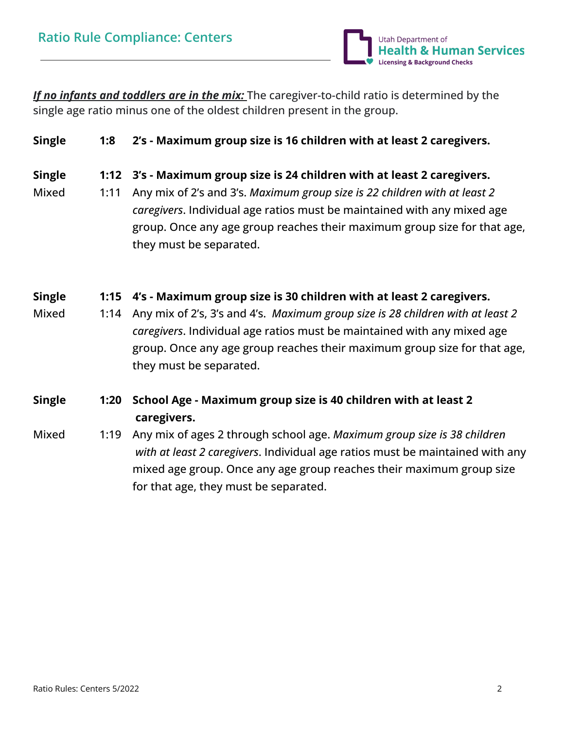

*If no infants and toddlers are in the mix:* The caregiver-to-child ratio is determined by the single age ratio minus one of the oldest children present in the group.

## **Single 1:8 2's - Maximum group size is 16 children with at least 2 caregivers.**

#### **Single 1:12 3's - Maximum group size is 24 children with at least 2 caregivers.**

Mixed 1:11 Any mix of 2's and 3's. *Maximum group size is 22 children with at least 2 caregivers*. Individual age ratios must be maintained with any mixed age group. Once any age group reaches their maximum group size for that age, they must be separated.

### **Single 1:15 4's - Maximum group size is 30 children with at least 2 caregivers.**

Mixed 1:14 Any mix of 2's, 3's and 4's. *Maximum group size is 28 children with at least 2 caregivers*. Individual age ratios must be maintained with any mixed age group. Once any age group reaches their maximum group size for that age, they must be separated.

# **Single 1:20 School Age - Maximum group size is 40 children with at least 2 caregivers.**

Mixed 1:19 Any mix of ages 2 through school age. *Maximum group size is 38 children with at least 2 caregivers*. Individual age ratios must be maintained with any mixed age group. Once any age group reaches their maximum group size for that age, they must be separated.